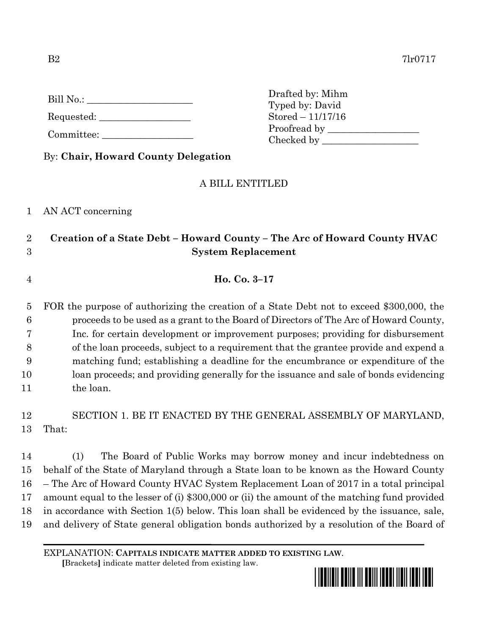| Bill No.: |
|-----------|
|-----------|

Requested:

Committee:

|  | By: Chair, Howard County Delegation |
|--|-------------------------------------|
|--|-------------------------------------|

## A BILL ENTITLED

## 1 AN ACT concerning

## 2 **Creation of a State Debt – Howard County – The Arc of Howard County HVAC**  3 **System Replacement**

- 4 **Ho. Co. 3–17**
- 5 FOR the purpose of authorizing the creation of a State Debt not to exceed \$300,000, the 6 proceeds to be used as a grant to the Board of Directors of The Arc of Howard County, 7 Inc. for certain development or improvement purposes; providing for disbursement 8 of the loan proceeds, subject to a requirement that the grantee provide and expend a 9 matching fund; establishing a deadline for the encumbrance or expenditure of the 10 loan proceeds; and providing generally for the issuance and sale of bonds evidencing 11 the loan.

# 12 SECTION 1. BE IT ENACTED BY THE GENERAL ASSEMBLY OF MARYLAND, 13 That:

 (1) The Board of Public Works may borrow money and incur indebtedness on behalf of the State of Maryland through a State loan to be known as the Howard County – The Arc of Howard County HVAC System Replacement Loan of 2017 in a total principal amount equal to the lesser of (i) \$300,000 or (ii) the amount of the matching fund provided in accordance with Section 1(5) below. This loan shall be evidenced by the issuance, sale, and delivery of State general obligation bonds authorized by a resolution of the Board of

 **[**Brackets**]** indicate matter deleted from existing law.



Drafted by: Mihm Typed by: David Stored – 11/17/16 Proofread by Checked by \_\_\_\_\_\_\_\_\_\_\_\_\_\_\_\_\_\_\_\_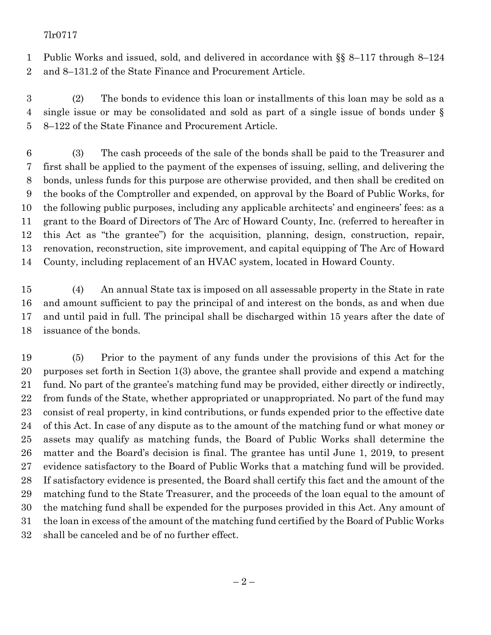### 7lr0717

 Public Works and issued, sold, and delivered in accordance with §§ 8–117 through 8–124 and 8–131.2 of the State Finance and Procurement Article.

 (2) The bonds to evidence this loan or installments of this loan may be sold as a single issue or may be consolidated and sold as part of a single issue of bonds under § 8–122 of the State Finance and Procurement Article.

 (3) The cash proceeds of the sale of the bonds shall be paid to the Treasurer and first shall be applied to the payment of the expenses of issuing, selling, and delivering the bonds, unless funds for this purpose are otherwise provided, and then shall be credited on the books of the Comptroller and expended, on approval by the Board of Public Works, for the following public purposes, including any applicable architects' and engineers' fees: as a grant to the Board of Directors of The Arc of Howard County, Inc. (referred to hereafter in this Act as "the grantee") for the acquisition, planning, design, construction, repair, renovation, reconstruction, site improvement, and capital equipping of The Arc of Howard County, including replacement of an HVAC system, located in Howard County.

 (4) An annual State tax is imposed on all assessable property in the State in rate and amount sufficient to pay the principal of and interest on the bonds, as and when due and until paid in full. The principal shall be discharged within 15 years after the date of issuance of the bonds.

 (5) Prior to the payment of any funds under the provisions of this Act for the purposes set forth in Section 1(3) above, the grantee shall provide and expend a matching fund. No part of the grantee's matching fund may be provided, either directly or indirectly, from funds of the State, whether appropriated or unappropriated. No part of the fund may consist of real property, in kind contributions, or funds expended prior to the effective date of this Act. In case of any dispute as to the amount of the matching fund or what money or assets may qualify as matching funds, the Board of Public Works shall determine the matter and the Board's decision is final. The grantee has until June 1, 2019, to present evidence satisfactory to the Board of Public Works that a matching fund will be provided. If satisfactory evidence is presented, the Board shall certify this fact and the amount of the matching fund to the State Treasurer, and the proceeds of the loan equal to the amount of the matching fund shall be expended for the purposes provided in this Act. Any amount of the loan in excess of the amount of the matching fund certified by the Board of Public Works shall be canceled and be of no further effect.